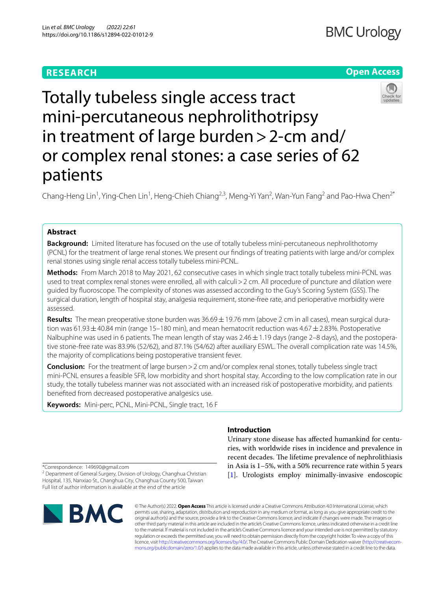# **RESEARCH**

# **BMC Urology**

# **Open Access**



Totally tubeless single access tract mini-percutaneous nephrolithotripsy in treatment of large burden>2-cm and/ or complex renal stones: a case series of 62 patients

Chang-Heng Lin<sup>1</sup>, Ying-Chen Lin<sup>1</sup>, Heng-Chieh Chiang<sup>2,3</sup>, Meng-Yi Yan<sup>2</sup>, Wan-Yun Fang<sup>2</sup> and Pao-Hwa Chen<sup>2\*</sup>

# **Abstract**

**Background:** Limited literature has focused on the use of totally tubeless mini-percutaneous nephrolithotomy (PCNL) for the treatment of large renal stones. We present our fndings of treating patients with large and/or complex renal stones using single renal access totally tubeless mini-PCNL.

**Methods:** From March 2018 to May 2021, 62 consecutive cases in which single tract totally tubeless mini-PCNL was used to treat complex renal stones were enrolled, all with calculi > 2 cm. All procedure of puncture and dilation were guided by fuoroscope. The complexity of stones was assessed according to the Guy's Scoring System (GSS). The surgical duration, length of hospital stay, analgesia requirement, stone-free rate, and perioperative morbidity were assessed.

**Results:** The mean preoperative stone burden was 36.69 ± 19.76 mm (above 2 cm in all cases), mean surgical duration was 61.93  $\pm$  40.84 min (range 15–180 min), and mean hematocrit reduction was 4.67  $\pm$  2.83%. Postoperative Nalbuphine was used in 6 patients. The mean length of stay was 2.46 $\pm$ 1.19 days (range 2–8 days), and the postoperative stone-free rate was 83.9% (52/62), and 87.1% (54/62) after auxiliary ESWL. The overall complication rate was 14.5%, the majority of complications being postoperative transient fever.

**Conclusion:** For the treatment of large bursen > 2 cm and/or complex renal stones, totally tubeless single tract mini-PCNL ensures a feasible SFR, low morbidity and short hospital stay. According to the low complication rate in our study, the totally tubeless manner was not associated with an increased risk of postoperative morbidity, and patients benefted from decreased postoperative analgesics use.

**Keywords:** Mini-perc, PCNL, Mini-PCNL, Single tract, 16 F

<sup>&</sup>lt;sup>2</sup> Department of General Surgery, Division of Urology, Changhua Christian Hospital, 135, Nanxiao St., Changhua City, Changhua County 500, Taiwan Full list of author information is available at the end of the article



# **Introduction**

Urinary stone disease has afected humankind for centuries, with worldwide rises in incidence and prevalence in recent decades. The lifetime prevalence of nephrolithiasis in Asia is 1–5%, with a 50% recurrence rate within 5 years [[1\]](#page-5-0). Urologists employ minimally-invasive endoscopic

© The Author(s) 2022. **Open Access** This article is licensed under a Creative Commons Attribution 4.0 International License, which permits use, sharing, adaptation, distribution and reproduction in any medium or format, as long as you give appropriate credit to the original author(s) and the source, provide a link to the Creative Commons licence, and indicate if changes were made. The images or other third party material in this article are included in the article's Creative Commons licence, unless indicated otherwise in a credit line to the material. If material is not included in the article's Creative Commons licence and your intended use is not permitted by statutory regulation or exceeds the permitted use, you will need to obtain permission directly from the copyright holder. To view a copy of this licence, visit [http://creativecommons.org/licenses/by/4.0/.](http://creativecommons.org/licenses/by/4.0/) The Creative Commons Public Domain Dedication waiver (http://creativecom[mons.org/publicdomain/zero/1.0/\)](http://creativecommons.org/publicdomain/zero/1.0/) applies to the data made available in this article, unless otherwise stated in a credit line to the data.

<sup>\*</sup>Correspondence: 149690@gmail.com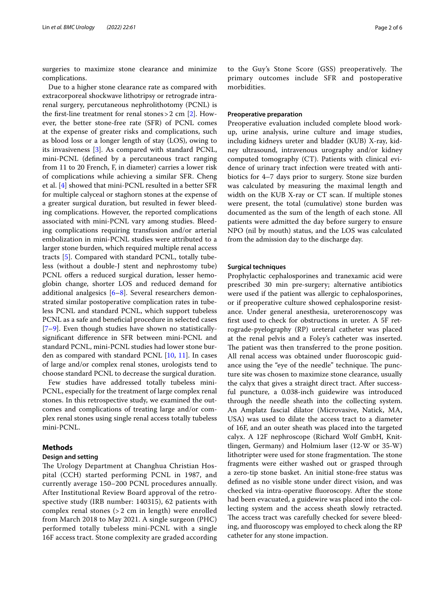surgeries to maximize stone clearance and minimize complications.

Due to a higher stone clearance rate as compared with extracorporeal shockwave lithotripsy or retrograde intrarenal surgery, percutaneous nephrolithotomy (PCNL) is the first-line treatment for renal stones  $>$  2 cm [[2\]](#page-5-1). However, the better stone-free rate (SFR) of PCNL comes at the expense of greater risks and complications, such as blood loss or a longer length of stay (LOS), owing to its invasiveness [\[3](#page-5-2)]. As compared with standard PCNL, mini-PCNL (defned by a percutaneous tract ranging from 11 to 20 French, F, in diameter) carries a lower risk of complications while achieving a similar SFR. Cheng et al. [[4\]](#page-5-3) showed that mini-PCNL resulted in a better SFR for multiple calyceal or staghorn stones at the expense of a greater surgical duration, but resulted in fewer bleeding complications. However, the reported complications associated with mini-PCNL vary among studies. Bleeding complications requiring transfusion and/or arterial embolization in mini-PCNL studies were attributed to a larger stone burden, which required multiple renal access tracts [\[5](#page-5-4)]. Compared with standard PCNL, totally tubeless (without a double-J stent and nephrostomy tube) PCNL offers a reduced surgical duration, lesser hemoglobin change, shorter LOS and reduced demand for additional analgesics [[6–](#page-5-5)[8](#page-5-6)]. Several researchers demonstrated similar postoperative complication rates in tubeless PCNL and standard PCNL, which support tubeless PCNL as a safe and beneficial procedure in selected cases [[7–](#page-5-7)[9\]](#page-5-8). Even though studies have shown no statisticallysignifcant diference in SFR between mini-PCNL and standard PCNL, mini-PCNL studies had lower stone burden as compared with standard PCNL [[10](#page-5-9), [11\]](#page-5-10). In cases of large and/or complex renal stones, urologists tend to choose standard PCNL to decrease the surgical duration.

Few studies have addressed totally tubeless mini-PCNL, especially for the treatment of large complex renal stones. In this retrospective study, we examined the outcomes and complications of treating large and/or complex renal stones using single renal access totally tubeless mini-PCNL.

# **Methods**

# **Design and setting**

The Urology Department at Changhua Christian Hospital (CCH) started performing PCNL in 1987, and currently average 150–200 PCNL procedures annually. After Institutional Review Board approval of the retrospective study (IRB number: 140315), 62 patients with complex renal stones (> 2 cm in length) were enrolled from March 2018 to May 2021. A single surgeon (PHC) performed totally tubeless mini-PCNL with a single 16F access tract. Stone complexity are graded according to the Guy's Stone Score (GSS) preoperatively. The primary outcomes include SFR and postoperative morbidities.

#### **Preoperative preparation**

Preoperative evaluation included complete blood workup, urine analysis, urine culture and image studies, including kidneys ureter and bladder (KUB) X-ray, kidney ultrasound, intravenous urography and/or kidney computed tomography (CT). Patients with clinical evidence of urinary tract infection were treated with antibiotics for 4–7 days prior to surgery. Stone size burden was calculated by measuring the maximal length and width on the KUB X-ray or CT scan. If multiple stones were present, the total (cumulative) stone burden was documented as the sum of the length of each stone. All patients were admitted the day before surgery to ensure NPO (nil by mouth) status, and the LOS was calculated from the admission day to the discharge day.

#### **Surgical techniques**

Prophylactic cephalosporines and tranexamic acid were prescribed 30 min pre-surgery; alternative antibiotics were used if the patient was allergic to cephalosporines, or if preoperative culture showed cephalosporine resistance. Under general anesthesia, ureterorenoscopy was frst used to check for obstructions in ureter. A 5F retrograde-pyelography (RP) ureteral catheter was placed at the renal pelvis and a Foley's catheter was inserted. The patient was then transferred to the prone position. All renal access was obtained under fuoroscopic guidance using the "eye of the needle" technique. The puncture site was chosen to maximize stone clearance, usually the calyx that gives a straight direct tract. After successful puncture, a 0.038-inch guidewire was introduced through the needle sheath into the collecting system. An Amplatz fascial dilator (Microvasive, Natick, MA, USA) was used to dilate the access tract to a diameter of 16F, and an outer sheath was placed into the targeted calyx. A 12F nephroscope (Richard Wolf GmbH, Knittlingen, Germany) and Holmium laser (12-W or 35-W) lithotripter were used for stone fragmentation. The stone fragments were either washed out or grasped through a zero-tip stone basket. An initial stone-free status was defned as no visible stone under direct vision, and was checked via intra-operative fuoroscopy. After the stone had been evacuated, a guidewire was placed into the collecting system and the access sheath slowly retracted. The access tract was carefully checked for severe bleeding, and fuoroscopy was employed to check along the RP catheter for any stone impaction.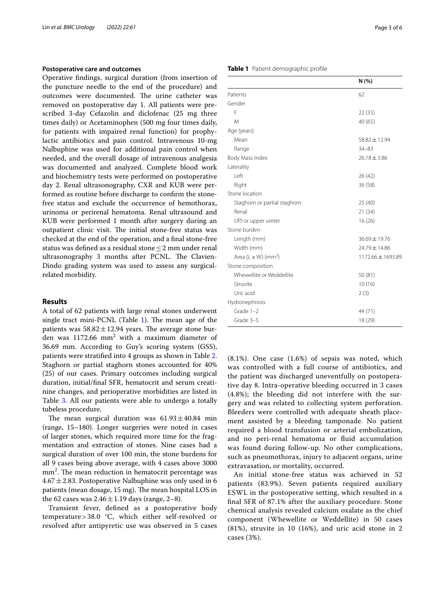### **Postoperative care and outcomes**

Operative fndings, surgical duration (from insertion of the puncture needle to the end of the procedure) and outcomes were documented. The urine catheter was removed on postoperative day 1. All patients were prescribed 3-day Cefazolin and diclofenac (25 mg three times daily) or Acetaminophen (500 mg four times daily, for patients with impaired renal function) for prophylactic antibiotics and pain control. Intravenous 10-mg Nalbuphine was used for additional pain control when needed, and the overall dosage of intravenous analgesia was documented and analyzed. Complete blood work and biochemistry tests were performed on postoperative day 2. Renal ultrasonography, CXR and KUB were performed as routine before discharge to confrm the stonefree status and exclude the occurrence of hemothorax, urinoma or perirenal hematoma. Renal ultrasound and KUB were performed 1 month after surgery during an outpatient clinic visit. The initial stone-free status was checked at the end of the operation, and a fnal stone-free status was defned as a residual stone≤2 mm under renal ultrasonography 3 months after PCNL. The Clavien-Dindo grading system was used to assess any surgicalrelated morbidity.

### **Results**

A total of 62 patients with large renal stones underwent single tract mini-PCNL (Table  $1$ ). The mean age of the patients was  $58.82 \pm 12.94$  years. The average stone burden was  $1172.66$  mm<sup>2</sup> with a maximum diameter of 36.69 mm. According to Guy's scoring system (GSS), patients were stratifed into 4 groups as shown in Table [2](#page-3-0). Staghorn or partial staghorn stones accounted for 40% (25) of our cases. Primary outcomes including surgical duration, initial/fnal SFR, hematocrit and serum creatinine changes, and perioperative morbidities are listed in Table [3.](#page-3-1) All our patients were able to undergo a totally tubeless procedure.

The mean surgical duration was  $61.93 \pm 40.84$  min (range, 15–180). Longer surgeries were noted in cases of larger stones, which required more time for the fragmentation and extraction of stones. Nine cases had a surgical duration of over 100 min, the stone burdens for all 9 cases being above average, with 4 cases above 3000 mm<sup>2</sup>. The mean reduction in hematocrit percentage was  $4.67 \pm 2.83$ . Postoperative Nalbuphine was only used in 6 patients (mean dosage, 15 mg). The mean hospital LOS in the 62 cases was  $2.46 \pm 1.19$  days (range, 2–8).

Transient fever, defned as a postoperative body temperature > 38.0 °C, which either self-resolved or resolved after antipyretic use was observed in 5 cases

#### <span id="page-2-0"></span>**Table 1** Patient demographic profle

|                                        | N (%)             |
|----------------------------------------|-------------------|
| Patients                               | 62                |
| Gender                                 |                   |
| F                                      | 22 (35)           |
| M                                      | 40 (65)           |
| Age (years)                            |                   |
| Mean                                   | $58.82 \pm 12.94$ |
| Range                                  | $34 - 83$         |
| Body Mass Index                        | $26.18 \pm 3.86$  |
| Laterality                             |                   |
| I eft                                  | 26 (42)           |
| Right                                  | 36 (58)           |
| Stone location                         |                   |
| Staghorn or partial staghorn           | 25(40)            |
| Renal                                  | 21 (34)           |
| UPJ or upper ureter                    | 16(26)            |
| Stone burden                           |                   |
| Length (mm)                            | 36.69 ± 19.76     |
| Width (mm)                             | 24.79 ± 14.86     |
| Area (L $\times$ W) (mm <sup>2</sup> ) | 1172.66 ± 1693.89 |
| Stone composition                      |                   |
| Whewellite or Weddellite               | 50(81)            |
| Struvite                               | 10(16)            |
| Uric acid                              | 2(3)              |
| Hydronephrosis                         |                   |
| Grade 1-2                              | 44 (71)           |
| Grade 3-5                              | 18 (29)           |

(8.1%). One case (1.6%) of sepsis was noted, which was controlled with a full course of antibiotics, and the patient was discharged uneventfully on postoperative day 8. Intra-operative bleeding occurred in 3 cases (4.8%); the bleeding did not interfere with the surgery and was related to collecting system perforation. Bleeders were controlled with adequate sheath placement assisted by a bleeding tamponade. No patient required a blood transfusion or arterial embolization, and no peri-renal hematoma or fuid accumulation was found during follow-up. No other complications, such as pneumothorax, injury to adjacent organs, urine extravasation, or mortality, occurred.

An initial stone-free status was achieved in 52 patients (83.9%). Seven patients required auxiliary ESWL in the postoperative setting, which resulted in a fnal SFR of 87.1% after the auxiliary procedure. Stone chemical analysis revealed calcium oxalate as the chief component (Whewellite or Weddellite) in 50 cases (81%), struvite in 10 (16%), and uric acid stone in 2 cases (3%).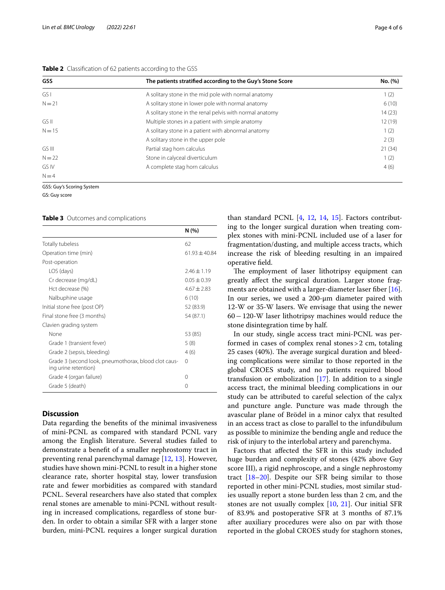## <span id="page-3-0"></span>**Table 2** Classification of 62 patients according to the GSS

| <b>GSS</b> | The patients stratified according to the Guy's Stone Score | No. (%) |
|------------|------------------------------------------------------------|---------|
| GS I       | A solitary stone in the mid pole with normal anatomy       | 1(2)    |
| $N = 21$   | A solitary stone in lower pole with normal anatomy         | 6(10)   |
|            | A solitary stone in the renal pelvis with normal anatomy   | 14(23)  |
| GS II      | Multiple stones in a patient with simple anatomy           | 12(19)  |
| $N = 15$   | A solitary stone in a patient with abnormal anatomy        | 1(2)    |
|            | A solitary stone in the upper pole                         | 2(3)    |
| GS III     | Partial stag horn calculus                                 | 21(34)  |
| $N = 22$   | Stone in calyceal diverticulum                             | 1(2)    |
| GS IV      | A complete stag horn calculus                              | 4(6)    |
| $N=4$      |                                                            |         |

GSS: Guy's Scoring System

GS: Guy score

<span id="page-3-1"></span>**Table 3** Outcomes and complications

|                                                                              | N (%)           |
|------------------------------------------------------------------------------|-----------------|
| Totally tubeless                                                             | 62              |
| Operation time (min)                                                         | $61.93 + 40.84$ |
| Post-operation                                                               |                 |
| LOS (days)                                                                   | $7.46 \pm 1.19$ |
| Cr decrease (mg/dL)                                                          | $0.05 + 0.39$   |
| Hct decrease (%)                                                             | $4.67 + 2.83$   |
| Nalbuphine usage                                                             | 6(10)           |
| Initial stone free (post OP)                                                 | 52 (83.9)       |
| Final stone free (3 months)                                                  | 54 (87.1)       |
| Clavien grading system                                                       |                 |
| None                                                                         | 53 (85)         |
| Grade 1 (transient fever)                                                    | 5(8)            |
| Grade 2 (sepsis, bleeding)                                                   | 4(6)            |
| Grade 3 (second look, pneumothorax, blood clot caus-<br>ing urine retention) | 0               |
| Grade 4 (organ failure)                                                      | Ω               |
| Grade 5 (death)                                                              | Ω               |

# **Discussion**

Data regarding the benefts of the minimal invasiveness of mini-PCNL as compared with standard PCNL vary among the English literature. Several studies failed to demonstrate a beneft of a smaller nephrostomy tract in preventing renal parenchymal damage [\[12](#page-5-11), [13](#page-5-12)]. However, studies have shown mini-PCNL to result in a higher stone clearance rate, shorter hospital stay, lower transfusion rate and fewer morbidities as compared with standard PCNL. Several researchers have also stated that complex renal stones are amenable to mini-PCNL without resulting in increased complications, regardless of stone burden. In order to obtain a similar SFR with a larger stone burden, mini-PCNL requires a longer surgical duration

than standard PCNL [\[4](#page-5-3), [12](#page-5-11), [14](#page-5-13), [15\]](#page-5-14). Factors contributing to the longer surgical duration when treating complex stones with mini-PCNL included use of a laser for fragmentation/dusting, and multiple access tracts, which increase the risk of bleeding resulting in an impaired operative feld.

The employment of laser lithotripsy equipment can greatly afect the surgical duration. Larger stone frag-ments are obtained with a larger-diameter laser fiber [\[16](#page-5-15)]. In our series, we used a 200-μm diameter paired with 12-W or 35-W lasers. We envisage that using the newer 60−120-W laser lithotripsy machines would reduce the stone disintegration time by half.

In our study, single access tract mini-PCNL was performed in cases of complex renal stones>2 cm, totaling 25 cases (40%). The average surgical duration and bleeding complications were similar to those reported in the global CROES study, and no patients required blood transfusion or embolization [[17\]](#page-5-16). In addition to a single access tract, the minimal bleeding complications in our study can be attributed to careful selection of the calyx and puncture angle. Puncture was made through the avascular plane of Brödel in a minor calyx that resulted in an access tract as close to parallel to the infundibulum as possible to minimize the bending angle and reduce the risk of injury to the interlobal artery and parenchyma.

Factors that afected the SFR in this study included huge burden and complexity of stones (42% above Guy score III), a rigid nephroscope, and a single nephrostomy tract [[18–](#page-5-17)[20](#page-5-18)]. Despite our SFR being similar to those reported in other mini-PCNL studies, most similar studies usually report a stone burden less than 2 cm, and the stones are not usually complex [[10,](#page-5-9) [21](#page-5-19)]. Our initial SFR of 83.9% and postoperative SFR at 3 months of 87.1% after auxiliary procedures were also on par with those reported in the global CROES study for staghorn stones,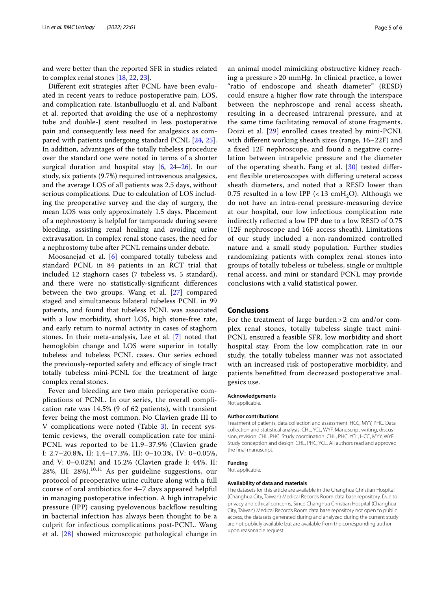and were better than the reported SFR in studies related to complex renal stones [[18](#page-5-17), [22,](#page-5-20) [23](#page-5-21)].

Diferent exit strategies after PCNL have been evaluated in recent years to reduce postoperative pain, LOS, and complication rate. Istanbulluoglu et al. and Nalbant et al. reported that avoiding the use of a nephrostomy tube and double-J stent resulted in less postoperative pain and consequently less need for analgesics as compared with patients undergoing standard PCNL [\[24](#page-5-22), [25](#page-5-23)]. In addition, advantages of the totally tubeless procedure over the standard one were noted in terms of a shorter surgical duration and hospital stay [[6,](#page-5-5) [24–](#page-5-22)[26](#page-5-24)]. In our study, six patients (9.7%) required intravenous analgesics, and the average LOS of all patients was 2.5 days, without serious complications. Due to calculation of LOS including the preoperative survey and the day of surgery, the mean LOS was only approximately 1.5 days. Placement of a nephrostomy is helpful for tamponade during severe bleeding, assisting renal healing and avoiding urine extravasation. In complex renal stone cases, the need for a nephrostomy tube after PCNL remains under debate.

Moosanejad et al. [[6\]](#page-5-5) compared totally tubeless and standard PCNL in 84 patients in an RCT trial that included 12 staghorn cases (7 tubeless vs. 5 standard), and there were no statistically-signifcant diferences between the two groups. Wang et al. [\[27](#page-5-25)] compared staged and simultaneous bilateral tubeless PCNL in 99 patients, and found that tubeless PCNL was associated with a low morbidity, short LOS, high stone-free rate, and early return to normal activity in cases of staghorn stones. In their meta-analysis, Lee et al. [[7](#page-5-7)] noted that hemoglobin change and LOS were superior in totally tubeless and tubeless PCNL cases. Our series echoed the previously-reported safety and efficacy of single tract totally tubeless mini-PCNL for the treatment of large complex renal stones.

Fever and bleeding are two main perioperative complications of PCNL. In our series, the overall complication rate was 14.5% (9 of 62 patients), with transient fever being the most common. No Clavien grade III to V complications were noted (Table [3](#page-3-1)). In recent systemic reviews, the overall complication rate for mini-PCNL was reported to be 11.9–37.9% (Clavien grade I: 2.7–20.8%, II: 1.4–17.3%, III: 0–10.3%, IV: 0–0.05%, and V: 0–0.02%) and 15.2% (Clavien grade I: 44%, II: 28%, III: 28%). $10,11$  As per guideline suggestions, our protocol of preoperative urine culture along with a full course of oral antibiotics for 4–7 days appeared helpful in managing postoperative infection. A high intrapelvic pressure (IPP) causing pyelovenous backflow resulting in bacterial infection has always been thought to be a culprit for infectious complications post-PCNL. Wang et al. [\[28](#page-5-26)] showed microscopic pathological change in an animal model mimicking obstructive kidney reaching a pressure > 20 mmHg. In clinical practice, a lower "ratio of endoscope and sheath diameter" (RESD) could ensure a higher flow rate through the interspace between the nephroscope and renal access sheath, resulting in a decreased intrarenal pressure, and at the same time facilitating removal of stone fragments. Doizi et al. [\[29](#page-5-27)] enrolled cases treated by mini-PCNL with diferent working sheath sizes (range, 16–22F) and a fxed 12F nephroscope, and found a negative correlation between intrapelvic pressure and the diameter of the operating sheath. Fang et al. [[30](#page-5-28)] tested diferent fexible ureteroscopes with difering ureteral access sheath diameters, and noted that a RESD lower than 0.75 resulted in a low IPP (<13 cmH<sub>2</sub>O). Although we do not have an intra-renal pressure-measuring device at our hospital, our low infectious complication rate indirectly refected a low IPP due to a low RESD of 0.75 (12F nephroscope and 16F access sheath). Limitations of our study included a non-randomized controlled nature and a small study population. Further studies randomizing patients with complex renal stones into groups of totally tubeless or tubeless, single or multiple renal access, and mini or standard PCNL may provide conclusions with a valid statistical power.

# **Conclusions**

For the treatment of large burden > 2 cm and/or complex renal stones, totally tubeless single tract mini-PCNL ensured a feasible SFR, low morbidity and short hospital stay. From the low complication rate in our study, the totally tubeless manner was not associated with an increased risk of postoperative morbidity, and patients beneftted from decreased postoperative analgesics use.

## **Acknowledgements**

Not applicable.

#### **Author contributions**

Treatment of patients, data collection and assessment: HCC, MYY, PHC. Data collection and statistical analysis: CHL, YCL, WYF. Manuscript writing, discussion, revision: CHL, PHC. Study coordination: CHL, PHC, YCL, HCC, MYY, WYF. Study conception and design: CHL, PHC, YCL. All authors read and approved the fnal manuscript.

# **Funding**

Not applicable.

# **Availability of data and materials**

The datasets for this article are available in the Changhua Christian Hospital (Changhua City, Taiwan) Medical Records Room data base repository. Due to privacy and ethical concerns, Since Changhua Christian Hospital (Changhua City, Taiwan) Medical Records Room data base repository not open to public access, the datasets generated during and analyzed during the current study are not publicly available but are available from the corresponding author upon reasonable request.